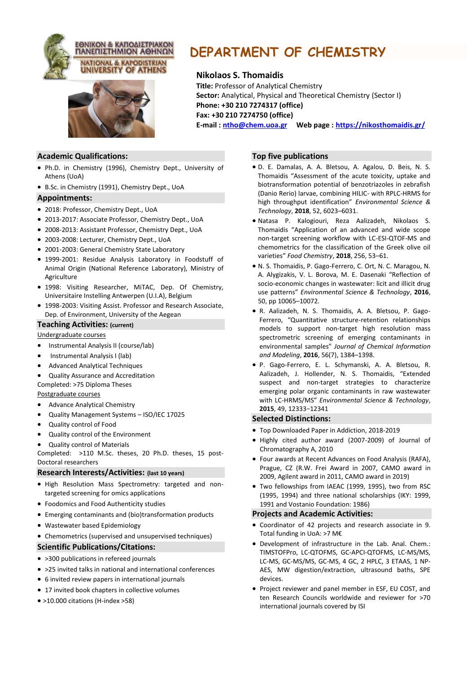



# **DEPARTMENT OF CHEMISTRY**

# **Nikolaos S. Thomaidis**

**Title:** Professor of Analytical Chemistry **Sector:** Analytical, Physical and Theoretical Chemistry (Sector I) **Phone: +30 210 7274317 (office) Fax: +30 210 7274750 (office) E-mail : [ntho@chem.uoa.gr](mailto:ntho@chem.uoa.gr) Web page : <https://nikosthomaidis.gr/>**

# **Academic Qualifications:**

- Ph.D. in Chemistry (1996), Chemistry Dept., University of Athens (UoA)
- B.Sc. in Chemistry (1991), Chemistry Dept., UoA

## **Appointments:**

- 2018: Professor, Chemistry Dept., UoA
- 2013-2017: Associate Professor, Chemistry Dept., UoA
- 2008-2013: Assistant Professor, Chemistry Dept., UoA
- 2003-2008: Lecturer, Chemistry Dept., UoA
- 2001-2003: General Chemistry State Laboratory
- 1999-2001: Residue Analysis Laboratory in Foodstuff of Animal Origin (National Reference Laboratory), Ministry of Agriculture
- 1998: Visiting Researcher, MiTAC, Dep. Of Chemistry, Universitaire Instelling Antwerpen (U.I.A), Belgium
- 1998-2003: Visiting Assist. Professor and Research Associate, Dep. of Environment, University of the Aegean

## **Teaching Activities: (current)**

## Undergraduate courses

- Instrumental Analysis II (course/lab)
- Instrumental Analysis I (lab)
- Advanced Analytical Techniques
- Quality Assurance and Accreditation Completed: >75 Diploma Theses

# Postgraduate courses

- Advance Analytical Chemistry
- Quality Management Systems ISO/IEC 17025
- Quality control of Food
- Quality control of the Environment
- Quality control of Materials

Completed: >110 M.Sc. theses, 20 Ph.D. theses, 15 post-Doctoral researchers

## **Research Interests/Activities: (last 10 years)**

- High Resolution Mass Spectrometry: targeted and nontargeted screening for omics applications
- Foodomics and Food Authenticity studies
- Emerging contaminants and (bio)transformation products
- Wastewater based Epidemiology
- Chemometrics (supervised and unsupervised techniques)

## **Scientific Publications/Citations:**

- >300 publications in refereed journals
- >25 invited talks in national and international conferences
- 6 invited review papers in international journals
- 17 invited book chapters in collective volumes
- >10.000 citations (H-index >58)

## **Top five publications**

- D. E. Damalas, A. A. Bletsou, A. Agalou, D. Beis, N. S. Thomaidis "Assessment of the acute toxicity, uptake and biotransformation potential of benzotriazoles in zebrafish (Danio Rerio) larvae, combining HILIC- with RPLC-HRMS for high throughput identification" *Environmental Science & Technology*, **2018**, 52, 6023–6031.
- Natasa P. Kalogiouri, Reza Aalizadeh, Nikolaos S. Thomaidis "Application of an advanced and wide scope non-target screening workflow with LC-ESI-QTOF-MS and chemometrics for the classification of the Greek olive oil varieties" *Food Chemistry*, **2018**, 256, 53–61.
- Ν. S. Τhomaidis, P. Gago-Ferrero, C. Ort, N. C. Maragou, N. A. Alygizakis, V. L. Borova, M. E. Dasenaki "Reflection of socio-economic changes in wastewater: licit and illicit drug use patterns" *Environmental Science & Technology*, **2016**, 50, pp 10065–10072.
- R. Aalizadeh, N. S. Thomaidis, A. A. Bletsou, P. Gago-Ferrero, "Quantitative structure-retention relationships models to support non-target high resolution mass spectrometric screening of emerging contaminants in environmental samples" *Journal of Chemical Information and Modeling*, **2016**, 56(7), 1384–1398.
- P. Gago-Ferrero, E. L. Schymanski, A. A. Bletsou, R. Aalizadeh, J. Hollender, Ν. S. Τhomaidis, "Extended suspect and non-target strategies to characterize emerging polar organic contaminants in raw wastewater with LC-HRMS/MS" *Environmental Science & Technology*, **2015**, 49, 12333−12341

## **Selected Distinctions:**

- Top Downloaded Paper in Addiction, 2018-2019
- Highly cited author award (2007-2009) of Journal of Chromatography A, 2010
- Four awards at Recent Advances on Food Analysis (RAFA), Prague, CZ (R.W. Frei Award in 2007, CAMO award in 2009, Agilent award in 2011, CAMO award in 2019)
- Two fellowships from IAEAC (1999, 1995), two from RSC (1995, 1994) and three national scholarships (IKY: 1999, 1991 and Vostanio Foundation: 1986)

## **Projects and Academic Activities:**

- Coordinator of 42 projects and research associate in 9. Total funding in UoA: >7 M€
- Development of infrastructure in the Lab. Anal. Chem.: TIMSTOFPro, LC-QTOFMS, GC-APCI-QTOFMS, LC-MS/MS, LC-MS, GC-MS/MS, GC-MS, 4 GC, 2 HPLC, 3 ETAAS, 1 NP-AES, MW digestion/extraction, ultrasound baths, SPE devices.
- Project reviewer and panel member in ESF, EU COST, and ten Research Councils worldwide and reviewer for >70 international journals covered by ISI